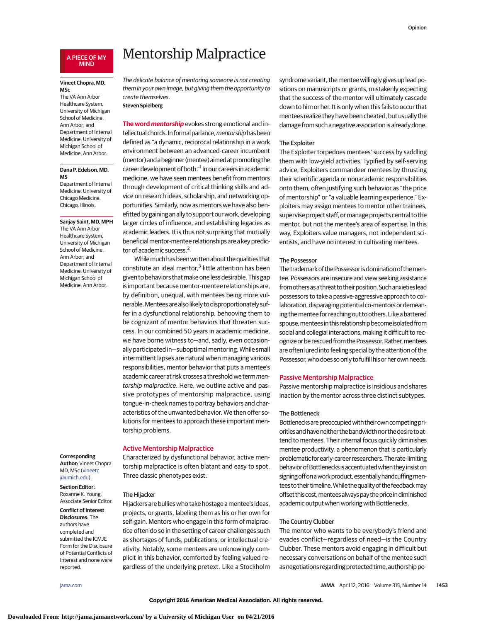#### A PIECE OF MY MIND

#### **Vineet Chopra, MD, MSc**

The VA Ann Arbor Healthcare System, University of Michigan School of Medicine, Ann Arbor; and Department of Internal Medicine, University of Michigan School of Medicine, Ann Arbor.

#### **Dana P. Edelson, MD, MS**

Department of Internal Medicine, University of Chicago Medicine, Chicago, Illinois.

**Sanjay Saint, MD, MPH** The VA Ann Arbor Healthcare System, University of Michigan School of Medicine, Ann Arbor; and Department of Internal Medicine, University of Michigan School of Medicine, Ann Arbor.

## **Corresponding**

**Author:** Vineet Chopra MD, MSc [\(vineetc](mailto:vineetc@umich.edu) [@umich.edu\)](mailto:vineetc@umich.edu).

## **Section Editor:** Roxanne K. Young,

Associate Senior Editor. **Conflict of Interest**

## **Disclosures:** The authors have completed and submitted the ICMJE Form for the Disclosure of Potential Conflicts of Interest and none were reported.

# Mentorship Malpractice

The delicate balance of mentoring someone is not creating them in your own image, but giving them the opportunity to create themselves.

## **Steven Spielberg**

**The word mentorship** evokes strong emotional and intellectual chords. In formal parlance, mentorship has been defined as "a dynamic, reciprocal relationship in a work environment between an advanced-career incumbent (mentor) and a beginner (mentee) aimed at promoting the career development of both."<sup>1</sup> In our careers in academic medicine, we have seen mentees benefit from mentors through development of critical thinking skills and advice on research ideas, scholarship, and networking opportunities. Similarly, now as mentors we have also benefitted by gaining an ally to support our work, developing larger circles of influence, and establishing legacies as academic leaders. It is thus not surprising that mutually beneficial mentor-mentee relationships are a key predictor of academic success.<sup>2</sup>

Whilemuch has beenwrittenabout the qualities that constitute an ideal mentor, $3$  little attention has been given to behaviors that make one less desirable. This gap is important because mentor-mentee relationships are, by definition, unequal, with mentees being more vulnerable.Menteesarealso likely to disproportionately suffer in a dysfunctional relationship, behooving them to be cognizant of mentor behaviors that threaten success. In our combined 50 years in academic medicine, we have borne witness to—and, sadly, even occasionally participated in—suboptimal mentoring.While small intermittent lapses are natural when managing various responsibilities, mentor behavior that puts a mentee's academic career at risk crosses a threshold we term mentorship malpractice. Here, we outline active and passive prototypes of mentorship malpractice, using tongue-in-cheek names to portray behaviors and characteristics of the unwanted behavior. We then offer solutions for mentees to approach these important mentorship problems.

# Active Mentorship Malpractice

Characterized by dysfunctional behavior, active mentorship malpractice is often blatant and easy to spot. Three classic phenotypes exist.

#### The Hijacker

Hijackers are bullies who take hostage a mentee's ideas, projects, or grants, labeling them as his or her own for self-gain. Mentors who engage in this form of malpractice often do so in the setting of career challenges such as shortages of funds, publications, or intellectual creativity. Notably, some mentees are unknowingly complicit in this behavior, comforted by feeling valued regardless of the underlying pretext. Like a Stockholm syndrome variant, thementee willingly gives up lead positions on manuscripts or grants, mistakenly expecting that the success of the mentor will ultimately cascade down to him or her. It is only when this fails to occur that mentees realize they have been cheated, but usually the damage from such a negative association is already done.

# The Exploiter

The Exploiter torpedoes mentees' success by saddling them with low-yield activities. Typified by self-serving advice, Exploiters commandeer mentees by thrusting their scientific agenda or nonacademic responsibilities onto them, often justifying such behavior as "the price of mentorship" or "a valuable learning experience." Exploiters may assign mentees to mentor other trainees, supervise project staff, or manage projects central to the mentor, but not the mentee's area of expertise. In this way, Exploiters value managers, not independent scientists, and have no interest in cultivating mentees.

#### The Possessor

The trademark of the Possessor is domination of the mentee. Possessors are insecure and view seeking assistance from others as a threat to their position. Such anxieties lead possessors to take a passive-aggressive approach to collaboration, disparaging potential co-mentors or demeaning thementee for reaching out to others. Like a battered spouse, mentees in this relationship become isolated from social and collegial interactions, making it difficult to recognize or be rescued from the Possessor. Rather, mentees are often lured into feeling special by the attention of the Possessor, who does so only to fulfill his or her own needs.

## Passive Mentorship Malpractice

Passive mentorship malpractice is insidious and shares inaction by the mentor across three distinct subtypes.

#### The Bottleneck

Bottlenecksarepreoccupiedwith theirowncompetingpriorities and have neither the bandwidth nor the desire to attend to mentees. Their internal focus quickly diminishes mentee productivity, a phenomenon that is particularly problematic forearly-career researchers.The rate-limiting behavior of Bottlenecks is accentuated when they insist on signing off on a work product, essentially handcuffing mentees to their timeline. While the quality of the feedback may offset this cost, mentees always pay the price in diminished academic output when working with Bottlenecks.

# The Country Clubber

The mentor who wants to be everybody's friend and evades conflict—regardless of need—is the Country Clubber. These mentors avoid engaging in difficult but necessary conversations on behalf of the mentee such as negotiations regarding protected time, authorship po-